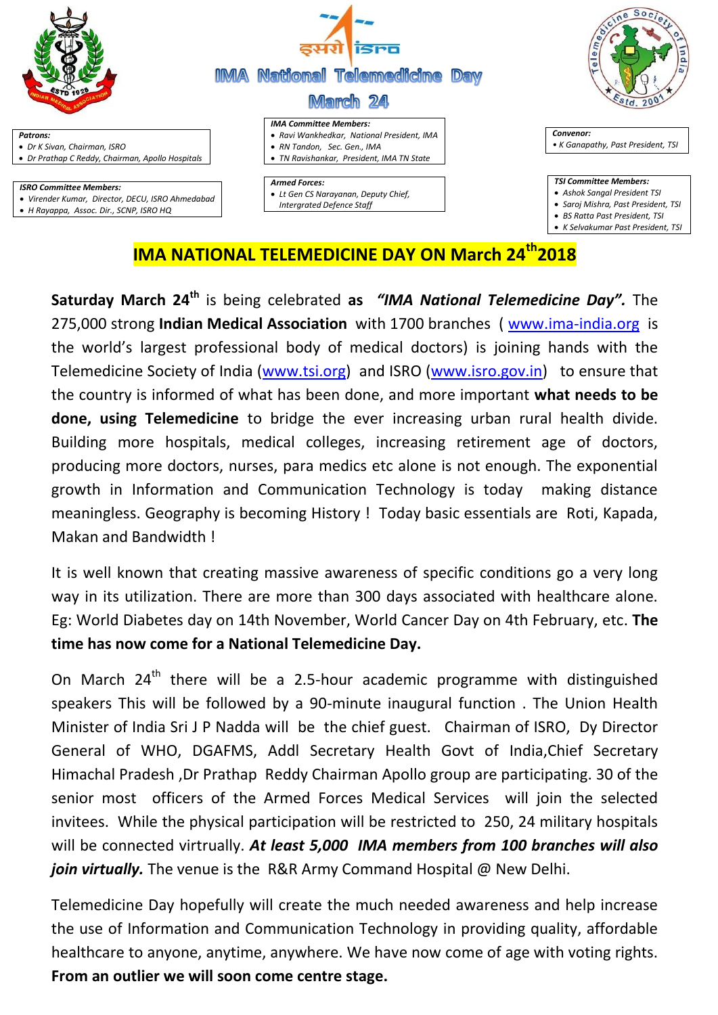

## **IMA NATIONAL TELEMEDICINE DAY ON March 24th2018**

**Saturday March 24th** is being celebrated **as** *"IMA National Telemedicine Day".* The 275,000 strong **Indian Medical Association** with 1700 branches ( [www.ima-india.org](http://www.ima-india.org/) is the world's largest professional body of medical doctors) is joining hands with the Telemedicine Society of India [\(www.tsi.org\)](http://www.tsi.org/) and ISRO [\(www.isro.gov.in\)](http://www.isro.gov.in/) to ensure that the country is informed of what has been done, and more important **what needs to be done, using Telemedicine** to bridge the ever increasing urban rural health divide. Building more hospitals, medical colleges, increasing retirement age of doctors, producing more doctors, nurses, para medics etc alone is not enough. The exponential growth in Information and Communication Technology is today making distance meaningless. Geography is becoming History ! Today basic essentials are Roti, Kapada, Makan and Bandwidth !

It is well known that creating massive awareness of specific conditions go a very long way in its utilization. There are more than 300 days associated with healthcare alone. Eg: World Diabetes day on 14th November, World Cancer Day on 4th February, etc. **The time has now come for a National Telemedicine Day.**

On March  $24<sup>th</sup>$  there will be a 2.5-hour academic programme with distinguished speakers This will be followed by a 90-minute inaugural function . The Union Health Minister of India Sri J P Nadda will be the chief guest. Chairman of ISRO, Dy Director General of WHO, DGAFMS, Addl Secretary Health Govt of India,Chief Secretary Himachal Pradesh ,Dr Prathap Reddy Chairman Apollo group are participating. 30 of the senior most officers of the Armed Forces Medical Services will join the selected invitees. While the physical participation will be restricted to 250, 24 military hospitals will be connected virtrually. *At least 5,000 IMA members from 100 branches will also join virtually.* The venue is the R&R Army Command Hospital @ New Delhi.

Telemedicine Day hopefully will create the much needed awareness and help increase the use of Information and Communication Technology in providing quality, affordable healthcare to anyone, anytime, anywhere. We have now come of age with voting rights. **From an outlier we will soon come centre stage.**